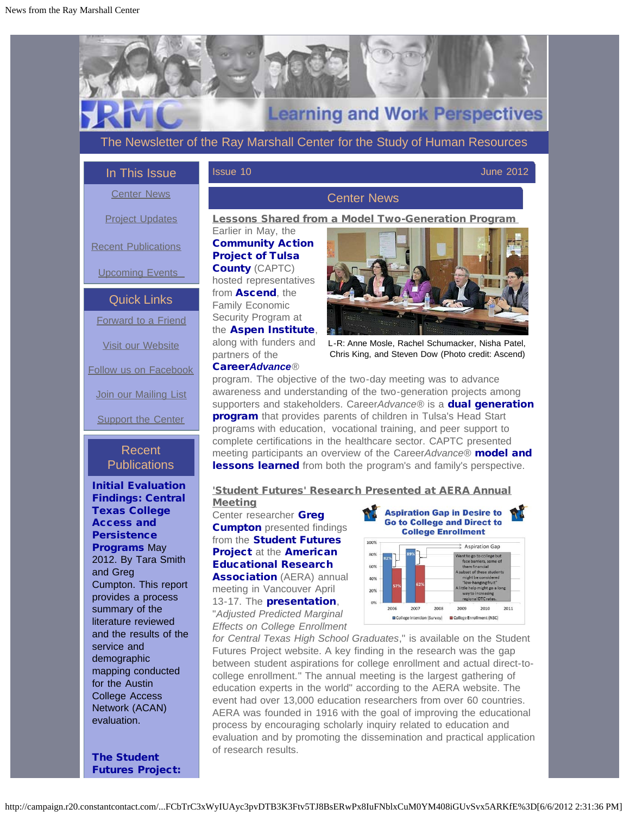<span id="page-0-0"></span>

<span id="page-0-1"></span>[Initial Evaluation](http://r20.rs6.net/tn.jsp?e=001v6ZMKIMt8gUos61hyZL0BCD2O4m77zQqaDdSCfv5aICogfP6bCPoz6k7v_5XjzRVVLnJkOjVN7KFOKdcxQX4rzKkCFOYMDh-_qCEd1WaJWgsfYBz5hn-x2KD3eFncgMMlkvp9Usn8UPbjVcCNHKJoNZHG8yZkc6c0V5MaUZug0nLsxMOQIaHbwm6mx8bkOVG) [Findings: Central](http://r20.rs6.net/tn.jsp?e=001v6ZMKIMt8gUos61hyZL0BCD2O4m77zQqaDdSCfv5aICogfP6bCPoz6k7v_5XjzRVVLnJkOjVN7KFOKdcxQX4rzKkCFOYMDh-_qCEd1WaJWgsfYBz5hn-x2KD3eFncgMMlkvp9Usn8UPbjVcCNHKJoNZHG8yZkc6c0V5MaUZug0nLsxMOQIaHbwm6mx8bkOVG) [Texas College](http://r20.rs6.net/tn.jsp?e=001v6ZMKIMt8gUos61hyZL0BCD2O4m77zQqaDdSCfv5aICogfP6bCPoz6k7v_5XjzRVVLnJkOjVN7KFOKdcxQX4rzKkCFOYMDh-_qCEd1WaJWgsfYBz5hn-x2KD3eFncgMMlkvp9Usn8UPbjVcCNHKJoNZHG8yZkc6c0V5MaUZug0nLsxMOQIaHbwm6mx8bkOVG) [Access and](http://r20.rs6.net/tn.jsp?e=001v6ZMKIMt8gUos61hyZL0BCD2O4m77zQqaDdSCfv5aICogfP6bCPoz6k7v_5XjzRVVLnJkOjVN7KFOKdcxQX4rzKkCFOYMDh-_qCEd1WaJWgsfYBz5hn-x2KD3eFncgMMlkvp9Usn8UPbjVcCNHKJoNZHG8yZkc6c0V5MaUZug0nLsxMOQIaHbwm6mx8bkOVG) **[Persistence](http://r20.rs6.net/tn.jsp?e=001v6ZMKIMt8gUos61hyZL0BCD2O4m77zQqaDdSCfv5aICogfP6bCPoz6k7v_5XjzRVVLnJkOjVN7KFOKdcxQX4rzKkCFOYMDh-_qCEd1WaJWgsfYBz5hn-x2KD3eFncgMMlkvp9Usn8UPbjVcCNHKJoNZHG8yZkc6c0V5MaUZug0nLsxMOQIaHbwm6mx8bkOVG) [Programs](http://r20.rs6.net/tn.jsp?e=001v6ZMKIMt8gUos61hyZL0BCD2O4m77zQqaDdSCfv5aICogfP6bCPoz6k7v_5XjzRVVLnJkOjVN7KFOKdcxQX4rzKkCFOYMDh-_qCEd1WaJWgsfYBz5hn-x2KD3eFncgMMlkvp9Usn8UPbjVcCNHKJoNZHG8yZkc6c0V5MaUZug0nLsxMOQIaHbwm6mx8bkOVG) May** 2012. By Tara Smith and Greg Cumpton. This report provides a process summary of the literature reviewed and the results of the service and demographic mapping conducted for the Austin College Access Network (ACAN) evaluation.

[The Student](http://r20.rs6.net/tn.jsp?e=001v6ZMKIMt8gUo8fkyF5NHmMAM1FhUqH_FOCJ37AM0TLe6Kkn2o8XVjdkXwzP_w6mQTdxqzisSlOKsnSqQ2D88MHknUYP5-TxxbEdS1UUOKcPvD9LlaNPBBME2HwcISTgGrQQSW6ehMyr_5oIXeq_wgl9dhsQIM8YtO3CEADNjDA3YhuIT0Mn8TTg11S_GcWrt) [Futures Project:](http://r20.rs6.net/tn.jsp?e=001v6ZMKIMt8gUo8fkyF5NHmMAM1FhUqH_FOCJ37AM0TLe6Kkn2o8XVjdkXwzP_w6mQTdxqzisSlOKsnSqQ2D88MHknUYP5-TxxbEdS1UUOKcPvD9LlaNPBBME2HwcISTgGrQQSW6ehMyr_5oIXeq_wgl9dhsQIM8YtO3CEADNjDA3YhuIT0Mn8TTg11S_GcWrt)

# 'Student Futures' Research Presented at AERA Annual

Meeting Center researcher [Greg](http://r20.rs6.net/tn.jsp?e=001v6ZMKIMt8gVz33TQ7XlKYC0AJ-iKVWrRNWWf4N_ni66PmGOZxIbgg3VdBAzXOnjRHyNhh0UX11W8dIijuXlx2mDhsQ0a4o9U3Ij6TkVVDVDkZNTFAO4V3CEkbcmB8bOtDPbA-0vGZutfcuZlUBeqY_aDMCFmafYgL9_Tc4D9crL-nGaKNQxPZUNJ9s6V6F_dvmIOgaw1Ho-4nw0g0zBSfx-wAJuk2zopQVhEqki2YuMH_mzB4Dm53bpV94N6upCQYX_esABjVsA=) **[Cumpton](http://r20.rs6.net/tn.jsp?e=001v6ZMKIMt8gVz33TQ7XlKYC0AJ-iKVWrRNWWf4N_ni66PmGOZxIbgg3VdBAzXOnjRHyNhh0UX11W8dIijuXlx2mDhsQ0a4o9U3Ij6TkVVDVDkZNTFAO4V3CEkbcmB8bOtDPbA-0vGZutfcuZlUBeqY_aDMCFmafYgL9_Tc4D9crL-nGaKNQxPZUNJ9s6V6F_dvmIOgaw1Ho-4nw0g0zBSfx-wAJuk2zopQVhEqki2YuMH_mzB4Dm53bpV94N6upCQYX_esABjVsA=)** presented findings from the **[Student Futures](http://r20.rs6.net/tn.jsp?e=001v6ZMKIMt8gVMbOa8hl9rKIun7_3vl1VxCsFrlauFLRYozhdEzZ90i74ixV6fOJA0J1LV4fbn3I1PClP3tvrO441JE3H-Wm5JZ9GyqA2DHuhXoYo4vUBdZQ==)** [Project](http://r20.rs6.net/tn.jsp?e=001v6ZMKIMt8gVMbOa8hl9rKIun7_3vl1VxCsFrlauFLRYozhdEzZ90i74ixV6fOJA0J1LV4fbn3I1PClP3tvrO441JE3H-Wm5JZ9GyqA2DHuhXoYo4vUBdZQ==) at the [American](http://r20.rs6.net/tn.jsp?e=001v6ZMKIMt8gWkDCyk36U9JBR9Fu5RZwCzPLJSMKIDWkm5aCba4BjaaMFNvLszTuY50gwrbCIPNbhnzh1SwfCtZazmUJoNvFe_lC3v0nW3L9o=) [Educational Research](http://r20.rs6.net/tn.jsp?e=001v6ZMKIMt8gWkDCyk36U9JBR9Fu5RZwCzPLJSMKIDWkm5aCba4BjaaMFNvLszTuY50gwrbCIPNbhnzh1SwfCtZazmUJoNvFe_lC3v0nW3L9o=) **[Association](http://r20.rs6.net/tn.jsp?e=001v6ZMKIMt8gWkDCyk36U9JBR9Fu5RZwCzPLJSMKIDWkm5aCba4BjaaMFNvLszTuY50gwrbCIPNbhnzh1SwfCtZazmUJoNvFe_lC3v0nW3L9o=)** (AERA) annual meeting in Vancouver April 13-17. The **[presentation](http://r20.rs6.net/tn.jsp?e=001v6ZMKIMt8gWmo-Rgw9O4o0cbZL7fvTXMw0WH5d-GxmLychCtdd5kXX_88N7oPA_wvVWd61od3EBy1shAhz_86cl2Nh7PSLkCK_K33XGZXSJPYllkZMbMNhvwbODzZM-qCbBIRj78UYYSPnakmMBGB7018LVNpK2bTyA_D9u_qD71iM93Y4DuL5yqkqj-mqWuYoVtgkyb8Vw=)**, "*Adjusted Predicted Marginal Effects on College Enrollment*



*for Central Texas High School Graduates*," is available on the Student Futures Project website. A key finding in the research was the gap between student aspirations for college enrollment and actual direct-tocollege enrollment." The annual meeting is the largest gathering of education experts in the world" according to the AERA website. The event had over 13,000 education researchers from over 60 countries. AERA was founded in 1916 with the goal of improving the educational process by encouraging scholarly inquiry related to education and evaluation and by promoting the dissemination and practical application of research results.

http://campaign.r20.constantcontact.com/...FCbTrC3xWyIUAyc3pvDTB3K3Ftv5TJ8BsERwPx8IuFNblxCuM0YM408iGUvSvx5ARKfE%3D[6/6/2012 2:31:36 PM]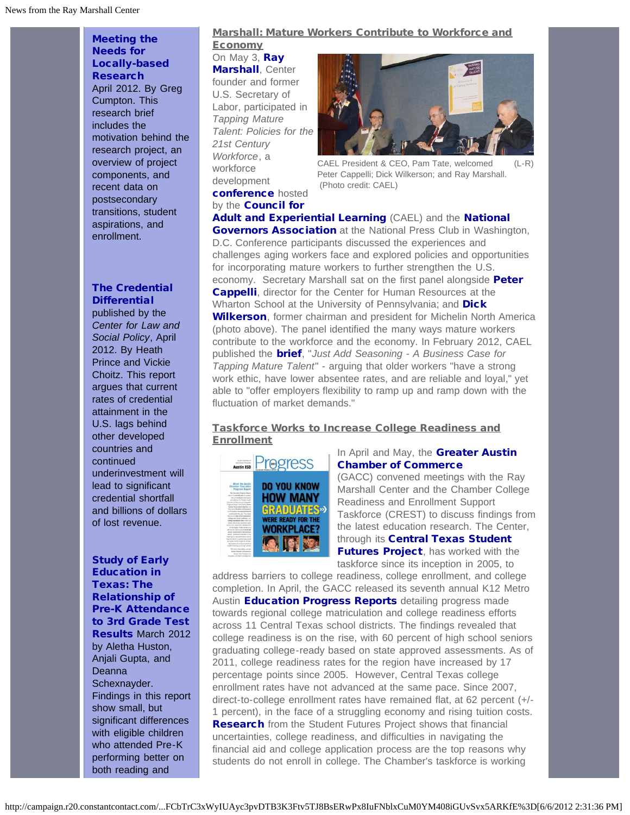[Meeting the](http://r20.rs6.net/tn.jsp?e=001v6ZMKIMt8gUo8fkyF5NHmMAM1FhUqH_FOCJ37AM0TLe6Kkn2o8XVjdkXwzP_w6mQTdxqzisSlOKsnSqQ2D88MHknUYP5-TxxbEdS1UUOKcPvD9LlaNPBBME2HwcISTgGrQQSW6ehMyr_5oIXeq_wgl9dhsQIM8YtO3CEADNjDA3YhuIT0Mn8TTg11S_GcWrt) [Needs for](http://r20.rs6.net/tn.jsp?e=001v6ZMKIMt8gUo8fkyF5NHmMAM1FhUqH_FOCJ37AM0TLe6Kkn2o8XVjdkXwzP_w6mQTdxqzisSlOKsnSqQ2D88MHknUYP5-TxxbEdS1UUOKcPvD9LlaNPBBME2HwcISTgGrQQSW6ehMyr_5oIXeq_wgl9dhsQIM8YtO3CEADNjDA3YhuIT0Mn8TTg11S_GcWrt) [Locally-based](http://r20.rs6.net/tn.jsp?e=001v6ZMKIMt8gUo8fkyF5NHmMAM1FhUqH_FOCJ37AM0TLe6Kkn2o8XVjdkXwzP_w6mQTdxqzisSlOKsnSqQ2D88MHknUYP5-TxxbEdS1UUOKcPvD9LlaNPBBME2HwcISTgGrQQSW6ehMyr_5oIXeq_wgl9dhsQIM8YtO3CEADNjDA3YhuIT0Mn8TTg11S_GcWrt) **[Research](http://r20.rs6.net/tn.jsp?e=001v6ZMKIMt8gUo8fkyF5NHmMAM1FhUqH_FOCJ37AM0TLe6Kkn2o8XVjdkXwzP_w6mQTdxqzisSlOKsnSqQ2D88MHknUYP5-TxxbEdS1UUOKcPvD9LlaNPBBME2HwcISTgGrQQSW6ehMyr_5oIXeq_wgl9dhsQIM8YtO3CEADNjDA3YhuIT0Mn8TTg11S_GcWrt)** April 2012. By Greg Cumpton. This research brief includes the motivation behind the research project, an overview of project components, and recent data on postsecondary transitions, student aspirations, and enrollment.

#### [The Credential](http://r20.rs6.net/tn.jsp?e=001v6ZMKIMt8gWKidFkvNFprjjBwWe2FFN7n0e-CsY_MAxerV5dHpLMYBh4eCO2xkpaPYFf8y0l3H6q7wuB7KtKg88h94sjUKx5j0k4mjXs-bSolCY8Fp1iJjQT8tnKpKvidfQigbgG_sWHx6fIfwwe6V_EK5tdSxIU2uR09PsJTVWp_RUwG2E_T1_8OduPPoicA9-PrvxvCd5h1_eI6PtEvA==) **[Differential](http://r20.rs6.net/tn.jsp?e=001v6ZMKIMt8gWKidFkvNFprjjBwWe2FFN7n0e-CsY_MAxerV5dHpLMYBh4eCO2xkpaPYFf8y0l3H6q7wuB7KtKg88h94sjUKx5j0k4mjXs-bSolCY8Fp1iJjQT8tnKpKvidfQigbgG_sWHx6fIfwwe6V_EK5tdSxIU2uR09PsJTVWp_RUwG2E_T1_8OduPPoicA9-PrvxvCd5h1_eI6PtEvA==)**

published by the *Center for Law and Social Policy*, April 2012. By Heath Prince and Vickie Choitz. This report argues that current rates of credential attainment in the U.S. lags behind other developed countries and continued underinvestment will lead to significant credential shortfall and billions of dollars of lost revenue.

[Study of Early](http://r20.rs6.net/tn.jsp?e=001v6ZMKIMt8gVdNjIPVCRl0jeNNiJI6Y_z3KLNL9IHcm2ZYNAKrDS573WSTNBJz3JOtgyRAPa7gtm56RItbiWhlM-mQyHisyGVPOozclR5xMRhdGVJ4wsQFA-V7ULe-_Eb4MrDHF2t8SeJpUOqu6LXIsBNYdLlBAgz-eO0sVB0KPYSVAckn4q0O5LFztsnBlGM) [Education in](http://r20.rs6.net/tn.jsp?e=001v6ZMKIMt8gVdNjIPVCRl0jeNNiJI6Y_z3KLNL9IHcm2ZYNAKrDS573WSTNBJz3JOtgyRAPa7gtm56RItbiWhlM-mQyHisyGVPOozclR5xMRhdGVJ4wsQFA-V7ULe-_Eb4MrDHF2t8SeJpUOqu6LXIsBNYdLlBAgz-eO0sVB0KPYSVAckn4q0O5LFztsnBlGM) [Texas: The](http://r20.rs6.net/tn.jsp?e=001v6ZMKIMt8gVdNjIPVCRl0jeNNiJI6Y_z3KLNL9IHcm2ZYNAKrDS573WSTNBJz3JOtgyRAPa7gtm56RItbiWhlM-mQyHisyGVPOozclR5xMRhdGVJ4wsQFA-V7ULe-_Eb4MrDHF2t8SeJpUOqu6LXIsBNYdLlBAgz-eO0sVB0KPYSVAckn4q0O5LFztsnBlGM) [Relationship of](http://r20.rs6.net/tn.jsp?e=001v6ZMKIMt8gVdNjIPVCRl0jeNNiJI6Y_z3KLNL9IHcm2ZYNAKrDS573WSTNBJz3JOtgyRAPa7gtm56RItbiWhlM-mQyHisyGVPOozclR5xMRhdGVJ4wsQFA-V7ULe-_Eb4MrDHF2t8SeJpUOqu6LXIsBNYdLlBAgz-eO0sVB0KPYSVAckn4q0O5LFztsnBlGM) [Pre-K Attendance](http://r20.rs6.net/tn.jsp?e=001v6ZMKIMt8gVdNjIPVCRl0jeNNiJI6Y_z3KLNL9IHcm2ZYNAKrDS573WSTNBJz3JOtgyRAPa7gtm56RItbiWhlM-mQyHisyGVPOozclR5xMRhdGVJ4wsQFA-V7ULe-_Eb4MrDHF2t8SeJpUOqu6LXIsBNYdLlBAgz-eO0sVB0KPYSVAckn4q0O5LFztsnBlGM) [to 3rd Grade Test](http://r20.rs6.net/tn.jsp?e=001v6ZMKIMt8gVdNjIPVCRl0jeNNiJI6Y_z3KLNL9IHcm2ZYNAKrDS573WSTNBJz3JOtgyRAPa7gtm56RItbiWhlM-mQyHisyGVPOozclR5xMRhdGVJ4wsQFA-V7ULe-_Eb4MrDHF2t8SeJpUOqu6LXIsBNYdLlBAgz-eO0sVB0KPYSVAckn4q0O5LFztsnBlGM) [Results](http://r20.rs6.net/tn.jsp?e=001v6ZMKIMt8gVdNjIPVCRl0jeNNiJI6Y_z3KLNL9IHcm2ZYNAKrDS573WSTNBJz3JOtgyRAPa7gtm56RItbiWhlM-mQyHisyGVPOozclR5xMRhdGVJ4wsQFA-V7ULe-_Eb4MrDHF2t8SeJpUOqu6LXIsBNYdLlBAgz-eO0sVB0KPYSVAckn4q0O5LFztsnBlGM) March 2012 by Aletha Huston, Anjali Gupta, and Deanna Schexnayder. Findings in this report show small, but significant differences with eligible children who attended Pre-K performing better on both reading and

### Marshall: Mature Workers Contribute to Workforce and

**Economy** On May 3, [Ray](http://r20.rs6.net/tn.jsp?e=001v6ZMKIMt8gWzw1lUCFlbdhtO4xZAjLy5C8eP0v_RRlntR-Ro9AKl_1a21ku79qKesbjWosLeG8PfwSGqzuMalVPVYWWEHnz8RXHZKwWNpJgWIW9RMV2ppP5gWenLIwfn09ZOXSwfB-TOzOdCo2XrfkL4fDbHKIhl4LBQpdX4X76wYvEmIkQDNJ8QqIlhQRdM9OiocFxc2ZQcDJgpek7c2Dhw8Rryj5hqKuLbmKm1dFw=) **[Marshall](http://r20.rs6.net/tn.jsp?e=001v6ZMKIMt8gWzw1lUCFlbdhtO4xZAjLy5C8eP0v_RRlntR-Ro9AKl_1a21ku79qKesbjWosLeG8PfwSGqzuMalVPVYWWEHnz8RXHZKwWNpJgWIW9RMV2ppP5gWenLIwfn09ZOXSwfB-TOzOdCo2XrfkL4fDbHKIhl4LBQpdX4X76wYvEmIkQDNJ8QqIlhQRdM9OiocFxc2ZQcDJgpek7c2Dhw8Rryj5hqKuLbmKm1dFw=)**, Center founder and former U.S. Secretary of Labor, participated in *Tapping Mature Talent: Policies for the 21st Century Workforce*, a workforce development [conference](http://r20.rs6.net/tn.jsp?e=001v6ZMKIMt8gV2kXOPYwor7Z5j-CeLTdHCI2ZS2AqOOvHDKo1WgrghcoYS415TqIPcm3cEu2pk_FeBn_bouXVafxR_rbJ40Mbn8vOWa-PN8hz7zcj7vRnRe6Vppe0d-Bkpu2j0ralFl6ba6Za_IdpMyw==) hosted by the **[Council for](http://r20.rs6.net/tn.jsp?e=001v6ZMKIMt8gVNnJZfq3AkTHAWALVEKM9w84SpOgq64tsBsFyrgjWML9QlkQyUAOgA5qpxrJjwmf2XzH6JOe9P8gO_0-5ZVWSDNRNCL3koj3UWJhzGynVLZQ==)** 



CAEL President & CEO, Pam Tate, welcomed (L-R) Peter Cappelli; Dick Wilkerson; and Ray Marshall. (Photo credit: CAEL)

[Adult and Experiential Learning](http://r20.rs6.net/tn.jsp?e=001v6ZMKIMt8gVNnJZfq3AkTHAWALVEKM9w84SpOgq64tsBsFyrgjWML9QlkQyUAOgA5qpxrJjwmf2XzH6JOe9P8gO_0-5ZVWSDNRNCL3koj3UWJhzGynVLZQ==) (CAEL) and the [National](http://r20.rs6.net/tn.jsp?e=001v6ZMKIMt8gXM1DIzgPfRPAsjFrNrkAD261j-o36Wjjy2bIr7EuqhSbsqSRf4wgJCyFZ6KadFpoTTk2FEa7HoKHsTXVZmwK6-PhnL1UmGXRHP8TmP0Jld_AaMYn4oKiAk) **[Governors Association](http://r20.rs6.net/tn.jsp?e=001v6ZMKIMt8gXM1DIzgPfRPAsjFrNrkAD261j-o36Wjjy2bIr7EuqhSbsqSRf4wgJCyFZ6KadFpoTTk2FEa7HoKHsTXVZmwK6-PhnL1UmGXRHP8TmP0Jld_AaMYn4oKiAk)** at the National Press Club in Washington, D.C. Conference participants discussed the experiences and challenges aging workers face and explored policies and opportunities for incorporating mature workers to further strengthen the U.S. economy. Secretary Marshall sat on the first panel alongside [Peter](http://r20.rs6.net/tn.jsp?e=001v6ZMKIMt8gXMFNVDfOMNDrpLVtFuPlozn3mkzRPzZa818MqPNXVxi2dkrDWQykEcp9i7RjSQt6QHO3VPACbJptZNf5ZBIuTUpIw7dAKZ_bTM2f9JVeeZrjYvdc5dOvTJV7xwDMYD3BZI8zog8caV0Q==) [Cappelli](http://r20.rs6.net/tn.jsp?e=001v6ZMKIMt8gXMFNVDfOMNDrpLVtFuPlozn3mkzRPzZa818MqPNXVxi2dkrDWQykEcp9i7RjSQt6QHO3VPACbJptZNf5ZBIuTUpIw7dAKZ_bTM2f9JVeeZrjYvdc5dOvTJV7xwDMYD3BZI8zog8caV0Q==), director for the Center for Human Resources at the Wharton School at the University of Pennsylvania; and [Dick](http://r20.rs6.net/tn.jsp?e=001v6ZMKIMt8gUCWWtNTwXaIavsaLdRg207eqtsURjfC1Ak0otK8bbk1wHct3aQZmAF2RqoCMpqAjore_jyr_z6Syf1TrEizwTgXFhx-uxIa476yfkYRnHxLotJOMIufv470cVgz0KEpmjrCBOGJao8AiCWylmx1Q4nkHVyneOk8uZWVBz94EkPm70tUyeQhnrh6lTYOLJkaMDsNkwWbg7h8_aVtxBZhsoAgNFHp8uQ8B4SEkj_d2nqx31Cl2zXo3wRwEXyp3woRT45OQ6KZGEH0ik1oV2g2zoH4GzpEZQvjQ0=) [Wilkerson](http://r20.rs6.net/tn.jsp?e=001v6ZMKIMt8gUCWWtNTwXaIavsaLdRg207eqtsURjfC1Ak0otK8bbk1wHct3aQZmAF2RqoCMpqAjore_jyr_z6Syf1TrEizwTgXFhx-uxIa476yfkYRnHxLotJOMIufv470cVgz0KEpmjrCBOGJao8AiCWylmx1Q4nkHVyneOk8uZWVBz94EkPm70tUyeQhnrh6lTYOLJkaMDsNkwWbg7h8_aVtxBZhsoAgNFHp8uQ8B4SEkj_d2nqx31Cl2zXo3wRwEXyp3woRT45OQ6KZGEH0ik1oV2g2zoH4GzpEZQvjQ0=), former chairman and president for Michelin North America (photo above). The panel identified the many ways mature workers contribute to the workforce and the economy. In February 2012, CAEL published the [brief](http://r20.rs6.net/tn.jsp?e=001v6ZMKIMt8gXgZmcKT4zHQ2kGySf59Sg9NWBtbq0npSnWVyZc3zxvBwwohT80xEtkrFOd4YVQeAZ43TwZ7LoA3-vzJWi6rtMqCLWOzbIHJzAQKkfZGgINs_LLJ05UeHW7v7uivXHIaJcwjjRtkqVZoA==), "*Just Add Seasoning - A Business Case for Tapping Mature Talent*" - arguing that older workers "have a strong work ethic, have lower absentee rates, and are reliable and loyal," yet able to "offer employers flexibility to ramp up and ramp down with the fluctuation of market demands."

### Taskforce Works to Increase College Readiness and **Enrollment**



### In April and May, the [Greater Austin](http://r20.rs6.net/tn.jsp?e=001v6ZMKIMt8gWYFxThrsrcgrrVUp5-iG5dcTHpbPExXeHLMiUavq2BzBHyL6b6PBtUufWs9H4_PZaSmo_HP1to4JmLLNs6_ViRZYNo5z83GS5gKXof9i57gZ6silO83llhC_k5wEmWKXc=) [Chamber of Commerce](http://r20.rs6.net/tn.jsp?e=001v6ZMKIMt8gWYFxThrsrcgrrVUp5-iG5dcTHpbPExXeHLMiUavq2BzBHyL6b6PBtUufWs9H4_PZaSmo_HP1to4JmLLNs6_ViRZYNo5z83GS5gKXof9i57gZ6silO83llhC_k5wEmWKXc=)

(GACC) convened meetings with the Ray Marshall Center and the Chamber College Readiness and Enrollment Support Taskforce (CREST) to discuss findings from the latest education research. The Center, through its **[Central Texas Student](http://r20.rs6.net/tn.jsp?e=001v6ZMKIMt8gVMbOa8hl9rKIun7_3vl1VxCsFrlauFLRYozhdEzZ90i74ixV6fOJA0J1LV4fbn3I1PClP3tvrO441JE3H-Wm5JZ9GyqA2DHuhXoYo4vUBdZQ==) [Futures Project](http://r20.rs6.net/tn.jsp?e=001v6ZMKIMt8gVMbOa8hl9rKIun7_3vl1VxCsFrlauFLRYozhdEzZ90i74ixV6fOJA0J1LV4fbn3I1PClP3tvrO441JE3H-Wm5JZ9GyqA2DHuhXoYo4vUBdZQ==)**, has worked with the taskforce since its inception in 2005, to

address barriers to college readiness, college enrollment, and college completion. In April, the GACC released its seventh annual K12 Metro Austin [Education Progress Reports](http://r20.rs6.net/tn.jsp?e=001v6ZMKIMt8gWkc1uhMl3J-P9E1qCoBNbKZUSMB3S_tpskscsEyR7DIp3QDwXSKSUc_V8_LaheuStRpCKYEGDjHpvcjX_DVSiWtn46fmunyhoNqZhYteogFTWg3eOLAswSfsswE27nfJpbZh5LLid-g011YTVUBrlIUen40QfiXJzIOmWUA-XZKDF0iyiI9diqVzmX-u99Sdyh5SUv5tW0ImWBrKpZycejPyeA3EF4qjc=) detailing progress made towards regional college matriculation and college readiness efforts across 11 Central Texas school districts. The findings revealed that college readiness is on the rise, with 60 percent of high school seniors graduating college-ready based on state approved assessments. As of 2011, college readiness rates for the region have increased by 17 percentage points since 2005. However, Central Texas college enrollment rates have not advanced at the same pace. Since 2007, direct-to-college enrollment rates have remained flat, at 62 percent (+/- 1 percent), in the face of a struggling economy and rising tuition costs. [Research](http://r20.rs6.net/tn.jsp?e=001v6ZMKIMt8gV4Gd_7Bodb8g4xmBHrj8zKENpa-WsSETonNH-1YcY0gmclBLulInPoGecqMljs8Q7ZKniTosuXlWTxd9X_d7CURlCn-tza1V7jo7h33Sc7zay2juGb61kA6KJXnYlnlbSs2dB11RGB8xTNhjjGC4JdLVjBj73Lq8MIWRZLqsyL9HSMy8x8h3QcvQI0t8VZC1xq4AShJG-7zP5PNDm2PqUIhCssGW66HlhJdVaYX0dstA==) from the Student Futures Project shows that financial uncertainties, college readiness, and difficulties in navigating the financial aid and college application process are the top reasons why students do not enroll in college. The Chamber's taskforce is working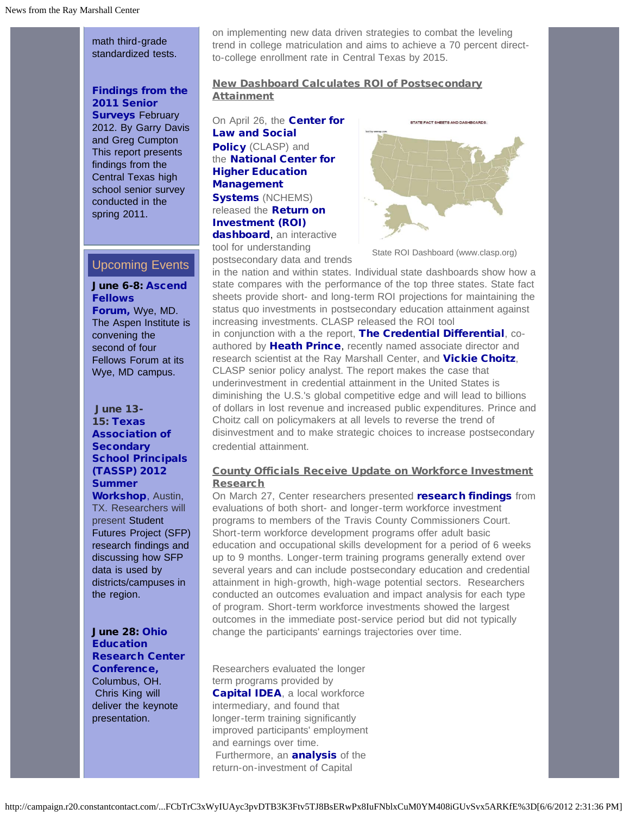math third-grade standardized tests.

### [Findings from the](http://r20.rs6.net/tn.jsp?e=001v6ZMKIMt8gVK_kg3IX5KIfTyhPD-ERbdri3pJ-bXQr0lPfb8JzyKAkSYbnPvljvcNkbnrbd7rXhhB4GFmeDF8-oQD6_b8LUrJqjKEUqU0fuyVZ8GE3h7iP4Kxph0Kx4hJBFKHAFolQODhBR6qMUBFwMcvy_fcbPJF_TWH3V563A5tjZXfO8_1HdPlFSMXXe907hfAf5lOiDuok6uEaIAvQ==) [2011 Senior](http://r20.rs6.net/tn.jsp?e=001v6ZMKIMt8gVK_kg3IX5KIfTyhPD-ERbdri3pJ-bXQr0lPfb8JzyKAkSYbnPvljvcNkbnrbd7rXhhB4GFmeDF8-oQD6_b8LUrJqjKEUqU0fuyVZ8GE3h7iP4Kxph0Kx4hJBFKHAFolQODhBR6qMUBFwMcvy_fcbPJF_TWH3V563A5tjZXfO8_1HdPlFSMXXe907hfAf5lOiDuok6uEaIAvQ==) **[Surveys](http://r20.rs6.net/tn.jsp?e=001v6ZMKIMt8gVK_kg3IX5KIfTyhPD-ERbdri3pJ-bXQr0lPfb8JzyKAkSYbnPvljvcNkbnrbd7rXhhB4GFmeDF8-oQD6_b8LUrJqjKEUqU0fuyVZ8GE3h7iP4Kxph0Kx4hJBFKHAFolQODhBR6qMUBFwMcvy_fcbPJF_TWH3V563A5tjZXfO8_1HdPlFSMXXe907hfAf5lOiDuok6uEaIAvQ==) February** 2012. By Garry Davis and Greg Cumpton This report presents findings from the Central Texas high school senior survey conducted in the spring 2011.

# <span id="page-2-0"></span>Upcoming Events

[June 6-8: Ascend](http://r20.rs6.net/tn.jsp?e=001v6ZMKIMt8gUIT7IInCPINY4J2cm6menEnECILTxsWdVVLeSqRJ8ECn2q5gjUJTouaWZCpdv9jRsYrk8zKzQXTDHVBNLjvHvnSDeoeEwEsFGQUovM3VLhRvaqIZ3RJXPmmuR9mvDef3xn_8U1x6hd8-p92mBEgUkqJ3Y9MOB6LUc1Hkjtqmxsxg==) [Fellows](http://r20.rs6.net/tn.jsp?e=001v6ZMKIMt8gUIT7IInCPINY4J2cm6menEnECILTxsWdVVLeSqRJ8ECn2q5gjUJTouaWZCpdv9jRsYrk8zKzQXTDHVBNLjvHvnSDeoeEwEsFGQUovM3VLhRvaqIZ3RJXPmmuR9mvDef3xn_8U1x6hd8-p92mBEgUkqJ3Y9MOB6LUc1Hkjtqmxsxg==) [Forum,](http://r20.rs6.net/tn.jsp?e=001v6ZMKIMt8gUIT7IInCPINY4J2cm6menEnECILTxsWdVVLeSqRJ8ECn2q5gjUJTouaWZCpdv9jRsYrk8zKzQXTDHVBNLjvHvnSDeoeEwEsFGQUovM3VLhRvaqIZ3RJXPmmuR9mvDef3xn_8U1x6hd8-p92mBEgUkqJ3Y9MOB6LUc1Hkjtqmxsxg==) Wye, MD. The Aspen Institute is convening the second of four Fellows Forum at its Wye, MD campus.

June 13- 15: [Texas](http://r20.rs6.net/tn.jsp?e=001v6ZMKIMt8gWInpWV7QPNzRaBumQu8HjEbN1gcuQmti04B4smYGufiawIamPuuGBvbL-GX69zvuM6oMEw0CDc7af5v-oK7NQOwAuE7ukv0xeVWKTRufBp2sjdXZsWHP9Jg09tXTPppDCH0KQkRqXbSHuum9cVSkNZ2YK2imu55P8=) [Association of](http://r20.rs6.net/tn.jsp?e=001v6ZMKIMt8gWInpWV7QPNzRaBumQu8HjEbN1gcuQmti04B4smYGufiawIamPuuGBvbL-GX69zvuM6oMEw0CDc7af5v-oK7NQOwAuE7ukv0xeVWKTRufBp2sjdXZsWHP9Jg09tXTPppDCH0KQkRqXbSHuum9cVSkNZ2YK2imu55P8=) **[Secondary](http://r20.rs6.net/tn.jsp?e=001v6ZMKIMt8gWInpWV7QPNzRaBumQu8HjEbN1gcuQmti04B4smYGufiawIamPuuGBvbL-GX69zvuM6oMEw0CDc7af5v-oK7NQOwAuE7ukv0xeVWKTRufBp2sjdXZsWHP9Jg09tXTPppDCH0KQkRqXbSHuum9cVSkNZ2YK2imu55P8=)** [School Principals](http://r20.rs6.net/tn.jsp?e=001v6ZMKIMt8gWInpWV7QPNzRaBumQu8HjEbN1gcuQmti04B4smYGufiawIamPuuGBvbL-GX69zvuM6oMEw0CDc7af5v-oK7NQOwAuE7ukv0xeVWKTRufBp2sjdXZsWHP9Jg09tXTPppDCH0KQkRqXbSHuum9cVSkNZ2YK2imu55P8=) [\(TASSP\) 2012](http://r20.rs6.net/tn.jsp?e=001v6ZMKIMt8gWInpWV7QPNzRaBumQu8HjEbN1gcuQmti04B4smYGufiawIamPuuGBvbL-GX69zvuM6oMEw0CDc7af5v-oK7NQOwAuE7ukv0xeVWKTRufBp2sjdXZsWHP9Jg09tXTPppDCH0KQkRqXbSHuum9cVSkNZ2YK2imu55P8=) **[Summer](http://r20.rs6.net/tn.jsp?e=001v6ZMKIMt8gWInpWV7QPNzRaBumQu8HjEbN1gcuQmti04B4smYGufiawIamPuuGBvbL-GX69zvuM6oMEw0CDc7af5v-oK7NQOwAuE7ukv0xeVWKTRufBp2sjdXZsWHP9Jg09tXTPppDCH0KQkRqXbSHuum9cVSkNZ2YK2imu55P8=)** 

[Workshop](http://r20.rs6.net/tn.jsp?e=001v6ZMKIMt8gWInpWV7QPNzRaBumQu8HjEbN1gcuQmti04B4smYGufiawIamPuuGBvbL-GX69zvuM6oMEw0CDc7af5v-oK7NQOwAuE7ukv0xeVWKTRufBp2sjdXZsWHP9Jg09tXTPppDCH0KQkRqXbSHuum9cVSkNZ2YK2imu55P8=), Austin, TX. Researchers will present Student Futures Project (SFP) research findings and discussing how SFP data is used by districts/campuses in the region.

### [June 28:](http://r20.rs6.net/tn.jsp?e=001v6ZMKIMt8gX9gXaHStwp-vc7Kd2H9lj_iYRMzXQeOMuA7vh6Gwq7p2F19IgyD3hnqM0eednyd84CjjhfxsvX7av40wW6O50FVXcPVU45dhumFiMgOJXpRmtKQzWKZ-WYTALB30C5Q3gIjDiITXWmEV9HX_HQHH-TE78BeXuG7tt_AuKDT09Yaw==) [Ohio](http://r20.rs6.net/tn.jsp?e=001v6ZMKIMt8gX9gXaHStwp-vc7Kd2H9lj_iYRMzXQeOMuA7vh6Gwq7p2F19IgyD3hnqM0eednyd84CjjhfxsvX7av40wW6O50FVXcPVU45dhumFiMgOJXpRmtKQzWKZ-WYTALB30C5Q3gIjDiITXWmEV9HX_HQHH-TE78BeXuG7tt_AuKDT09Yaw==) **[Education](http://r20.rs6.net/tn.jsp?e=001v6ZMKIMt8gX9gXaHStwp-vc7Kd2H9lj_iYRMzXQeOMuA7vh6Gwq7p2F19IgyD3hnqM0eednyd84CjjhfxsvX7av40wW6O50FVXcPVU45dhumFiMgOJXpRmtKQzWKZ-WYTALB30C5Q3gIjDiITXWmEV9HX_HQHH-TE78BeXuG7tt_AuKDT09Yaw==)** [Research Center](http://r20.rs6.net/tn.jsp?e=001v6ZMKIMt8gX9gXaHStwp-vc7Kd2H9lj_iYRMzXQeOMuA7vh6Gwq7p2F19IgyD3hnqM0eednyd84CjjhfxsvX7av40wW6O50FVXcPVU45dhumFiMgOJXpRmtKQzWKZ-WYTALB30C5Q3gIjDiITXWmEV9HX_HQHH-TE78BeXuG7tt_AuKDT09Yaw==) [Conference,](http://r20.rs6.net/tn.jsp?e=001v6ZMKIMt8gX9gXaHStwp-vc7Kd2H9lj_iYRMzXQeOMuA7vh6Gwq7p2F19IgyD3hnqM0eednyd84CjjhfxsvX7av40wW6O50FVXcPVU45dhumFiMgOJXpRmtKQzWKZ-WYTALB30C5Q3gIjDiITXWmEV9HX_HQHH-TE78BeXuG7tt_AuKDT09Yaw==)

Columbus, OH. Chris King will deliver the keynote presentation.

on implementing new data driven strategies to combat the leveling trend in college matriculation and aims to achieve a 70 percent directto-college enrollment rate in Central Texas by 2015.

### New Dashboard Calculates ROI of Postsecondary **Attainment**

On April 26, the **[Center for](http://r20.rs6.net/tn.jsp?e=001v6ZMKIMt8gUJ9YyH8yCbNNZEBi9Tf_BKoNPSkQFzMEaOtRaPkKyWRaQCYxe2sBUK2B_XwPgSv-Uh8j5yH3uW5SoYqH7i8ODWMlsC-mTU7j8=)** [Law and Social](http://r20.rs6.net/tn.jsp?e=001v6ZMKIMt8gUJ9YyH8yCbNNZEBi9Tf_BKoNPSkQFzMEaOtRaPkKyWRaQCYxe2sBUK2B_XwPgSv-Uh8j5yH3uW5SoYqH7i8ODWMlsC-mTU7j8=) [Policy](http://r20.rs6.net/tn.jsp?e=001v6ZMKIMt8gUJ9YyH8yCbNNZEBi9Tf_BKoNPSkQFzMEaOtRaPkKyWRaQCYxe2sBUK2B_XwPgSv-Uh8j5yH3uW5SoYqH7i8ODWMlsC-mTU7j8=) (CLASP) and the **[National Center for](http://r20.rs6.net/tn.jsp?e=001v6ZMKIMt8gXVXUkjhMuwOpuLL7lig1zOEZCMw_PVWmmgu4YxX0vDAw-ODemEGI3NF2MM7xxD78bo99kIIxvhHCn9p12wj1oDyW3umG4O7yPCQSS8YJON3Q==)** [Higher Education](http://r20.rs6.net/tn.jsp?e=001v6ZMKIMt8gXVXUkjhMuwOpuLL7lig1zOEZCMw_PVWmmgu4YxX0vDAw-ODemEGI3NF2MM7xxD78bo99kIIxvhHCn9p12wj1oDyW3umG4O7yPCQSS8YJON3Q==) [Management](http://r20.rs6.net/tn.jsp?e=001v6ZMKIMt8gXVXUkjhMuwOpuLL7lig1zOEZCMw_PVWmmgu4YxX0vDAw-ODemEGI3NF2MM7xxD78bo99kIIxvhHCn9p12wj1oDyW3umG4O7yPCQSS8YJON3Q==) [Systems](http://r20.rs6.net/tn.jsp?e=001v6ZMKIMt8gXVXUkjhMuwOpuLL7lig1zOEZCMw_PVWmmgu4YxX0vDAw-ODemEGI3NF2MM7xxD78bo99kIIxvhHCn9p12wj1oDyW3umG4O7yPCQSS8YJON3Q==) (NCHEMS) released the **[Return on](http://r20.rs6.net/tn.jsp?e=001v6ZMKIMt8gXrTx4mROFuTwYsO9r1HXpTYHKwGoKHwaMXZN8AWie11e4ja4375nIdhEX83wjWIAPpiBftvcuoqIY3JOd2RcAe8YV0_m4hrDHmASQ3-7NvtGb6_YV8ajvY95a7SC8PhpWhocZZBmSPaso1MJG-dtwQXw5-CA40SIsfPzDxocTXCgDOxoX8UmefQMJL-mppHE5rt-CUQp9GCg==)** [Investment \(ROI\)](http://r20.rs6.net/tn.jsp?e=001v6ZMKIMt8gXrTx4mROFuTwYsO9r1HXpTYHKwGoKHwaMXZN8AWie11e4ja4375nIdhEX83wjWIAPpiBftvcuoqIY3JOd2RcAe8YV0_m4hrDHmASQ3-7NvtGb6_YV8ajvY95a7SC8PhpWhocZZBmSPaso1MJG-dtwQXw5-CA40SIsfPzDxocTXCgDOxoX8UmefQMJL-mppHE5rt-CUQp9GCg==) [dashboard](http://r20.rs6.net/tn.jsp?e=001v6ZMKIMt8gXrTx4mROFuTwYsO9r1HXpTYHKwGoKHwaMXZN8AWie11e4ja4375nIdhEX83wjWIAPpiBftvcuoqIY3JOd2RcAe8YV0_m4hrDHmASQ3-7NvtGb6_YV8ajvY95a7SC8PhpWhocZZBmSPaso1MJG-dtwQXw5-CA40SIsfPzDxocTXCgDOxoX8UmefQMJL-mppHE5rt-CUQp9GCg==), an interactive tool for understanding

postsecondary data and trends



State ROI Dashboard (www.clasp.org)

in the nation and within states. Individual state dashboards show how a state compares with the performance of the top three states. State fact sheets provide short- and long-term ROI projections for maintaining the status quo investments in postsecondary education attainment against increasing investments. CLASP released the ROI tool

in conjunction with a the report, [The Credential Differential](http://r20.rs6.net/tn.jsp?e=001v6ZMKIMt8gWKidFkvNFprjjBwWe2FFN7n0e-CsY_MAxerV5dHpLMYBh4eCO2xkpaPYFf8y0l3H6q7wuB7KtKg88h94sjUKx5j0k4mjXs-bSolCY8Fp1iJjQT8tnKpKvidfQigbgG_sWHx6fIfwwe6V_EK5tdSxIU2uR09PsJTVWp_RUwG2E_T1_8OduPPoicA9-PrvxvCd5h1_eI6PtEvA==), co-authored by [Heath Prince](http://r20.rs6.net/tn.jsp?e=001v6ZMKIMt8gX0GK7I8SZTQ4cbBour0SORCCGugrv0GW3MBRGyPxSBJYkJ_jgBx3x8At7PwPdElK-WlcN7r-QxCLUjC5Y2qmfs3xJEoJLG3ncNOHJFRP6MT95p99cEFiqqYyObp97kYY0JbsvKLJFjCVsed6UAL6OHrHq0sShtQXlRUVa-7TpFJode9gr6pSBCZlGtDOBxmx45jkKuWOEa6w==), recently named associate director and research scientist at the Ray Marshall Center, and [Vickie Choitz](http://r20.rs6.net/tn.jsp?e=001v6ZMKIMt8gUzcvIlNMpUDI06LRMSmWsfz8lhx9MfEtod1WEbxnxLn5qOFK0HPEVqev14QxAFpAEy0Bxob2yLDYH-i_wIEi0EHnrF-Ebr_gWEQnNpMmWTO7WAvJQsGeR6mfawrgUke58_97Bv0S13KQ==), CLASP senior policy analyst. The report makes the case that underinvestment in credential attainment in the United States is diminishing the U.S.'s global competitive edge and will lead to billions of dollars in lost revenue and increased public expenditures. Prince and Choitz call on policymakers at all levels to reverse the trend of disinvestment and to make strategic choices to increase postsecondary credential attainment.

### County Officials Receive Update on Workforce Investment **Research**

On March 27, Center researchers presented **[research findings](http://r20.rs6.net/tn.jsp?e=001v6ZMKIMt8gV23wHUVTAv26oftc8gvvpvLpZjh0-1P7rLbQjhwYQQ85tZ6tsfu2L8BPevOWGQZTjEwa3bETIOu_zsLea-g_ixQT4FdxnMDsd72_m6TnVGdRxWYB45X4UdpA3-5_58uWlcm_ZpZ1qpFiPGc-MYkMRQ55quaqzfdNepEr7bxzB1qOkooupbZy_LXADP9CtR7SM=)** from evaluations of both short- and longer-term workforce investment programs to members of the Travis County Commissioners Court. Short-term workforce development programs offer adult basic education and occupational skills development for a period of 6 weeks up to 9 months. Longer-term training programs generally extend over several years and can include postsecondary education and credential attainment in high-growth, high-wage potential sectors. Researchers conducted an outcomes evaluation and impact analysis for each type of program. Short-term workforce investments showed the largest outcomes in the immediate post-service period but did not typically change the participants' earnings trajectories over time.

Researchers evaluated the longer term programs provided by [Capital IDEA](http://r20.rs6.net/tn.jsp?e=001v6ZMKIMt8gXDAmIxNlx0W9GgV0ZCG-VVyAWjwEZFouk_Cnon8HlchQ34hVdqA8r02mWn_uzGakCORFWsEg25HP7m2KOtv-OfVC7m9f2pcNkCY6u-gcK0pA==), a local workforce intermediary, and found that longer-term training significantly improved participants' employment and earnings over time. Furthermore, an **[analysis](http://r20.rs6.net/tn.jsp?e=001v6ZMKIMt8gVkW2J0Ps5lHvEj_SKYpalFLuWXoe7hWYLXX7lmf49sMHYElLlFF2d7Vy8I8wteKH_S2WRqGeHsmwxgW-UkwwiDSLNMDk8wqemIJj_Skd17UJI_9w7EawUUTKlht7r29tDvTxTBvOlp55EKOTS-aGmpbvHb32p-W0Gab0eZmWsCJGGVkZwg0U_rIYE_lcRB0jo=)** of the return-on-investment of Capital